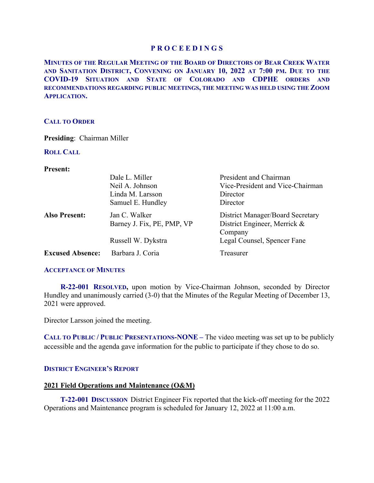**MINUTES OF THE REGULAR MEETING OF THE BOARD OF DIRECTORS OF BEAR CREEK WATER AND SANITATION DISTRICT, CONVENING ON JANUARY 10, 2022 AT 7:00 PM. DUE TO THE COVID-19 SITUATION AND STATE OF COLORADO AND CDPHE ORDERS AND RECOMMENDATIONS REGARDING PUBLIC MEETINGS, THE MEETING WAS HELD USING THE ZOOM APPLICATION.**

# **CALL TO ORDER**

**Presiding**: Chairman Miller

# **ROLL CALL**

**Present:** 

|                         | Dale L. Miller<br>Neil A. Johnson<br>Linda M. Larsson<br>Samuel E. Hundley | President and Chairman<br>Vice-President and Vice-Chairman<br>Director<br>Director |
|-------------------------|----------------------------------------------------------------------------|------------------------------------------------------------------------------------|
| <b>Also Present:</b>    | Jan C. Walker<br>Barney J. Fix, PE, PMP, VP                                | District Manager/Board Secretary<br>District Engineer, Merrick &<br>Company        |
|                         | Russell W. Dykstra                                                         | Legal Counsel, Spencer Fane                                                        |
| <b>Excused Absence:</b> | Barbara J. Coria                                                           | Treasurer                                                                          |

# **ACCEPTANCE OF MINUTES**

 **R-22-001 RESOLVED,** upon motion by Vice-Chairman Johnson, seconded by Director Hundley and unanimously carried (3-0) that the Minutes of the Regular Meeting of December 13, 2021 were approved.

Director Larsson joined the meeting.

**CALL TO PUBLIC / PUBLIC PRESENTATIONS-NONE –** The video meeting was set up to be publicly accessible and the agenda gave information for the public to participate if they chose to do so.

# **DISTRICT ENGINEER'S REPORT**

# **2021 Field Operations and Maintenance (O&M)**

 **T-22-001 DISCUSSION** District Engineer Fix reported that the kick-off meeting for the 2022 Operations and Maintenance program is scheduled for January 12, 2022 at 11:00 a.m.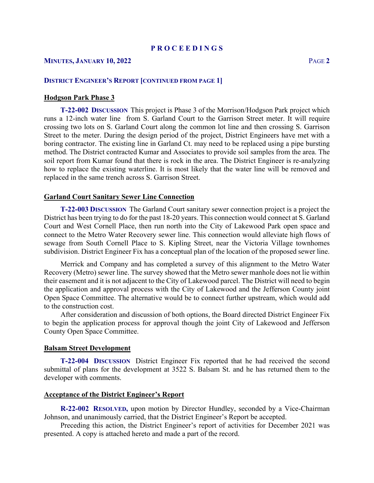## **MINUTES, JANUARY 10, 2022** PAGE **2**

## **DISTRICT ENGINEER'S REPORT [CONTINUED FROM PAGE 1]**

# **Hodgson Park Phase 3**

 **T-22-002 DISCUSSION** This project is Phase 3 of the Morrison/Hodgson Park project which runs a 12-inch water line from S. Garland Court to the Garrison Street meter. It will require crossing two lots on S. Garland Court along the common lot line and then crossing S. Garrison Street to the meter. During the design period of the project, District Engineers have met with a boring contractor. The existing line in Garland Ct. may need to be replaced using a pipe bursting method. The District contracted Kumar and Associates to provide soil samples from the area. The soil report from Kumar found that there is rock in the area. The District Engineer is re-analyzing how to replace the existing waterline. It is most likely that the water line will be removed and replaced in the same trench across S. Garrison Street.

#### **Garland Court Sanitary Sewer Line Connection**

 **T-22-003 DISCUSSION** The Garland Court sanitary sewer connection project is a project the District has been trying to do for the past 18-20 years. This connection would connect at S. Garland Court and West Cornell Place, then run north into the City of Lakewood Park open space and connect to the Metro Water Recovery sewer line. This connection would alleviate high flows of sewage from South Cornell Place to S. Kipling Street, near the Victoria Village townhomes subdivision. District Engineer Fix has a conceptual plan of the location of the proposed sewer line.

 Merrick and Company and has completed a survey of this alignment to the Metro Water Recovery (Metro) sewer line. The survey showed that the Metro sewer manhole does not lie within their easement and it is not adjacent to the City of Lakewood parcel. The District will need to begin the application and approval process with the City of Lakewood and the Jefferson County joint Open Space Committee. The alternative would be to connect further upstream, which would add to the construction cost.

 After consideration and discussion of both options, the Board directed District Engineer Fix to begin the application process for approval though the joint City of Lakewood and Jefferson County Open Space Committee.

## **Balsam Street Development**

 **T-22-004 DISCUSSION** District Engineer Fix reported that he had received the second submittal of plans for the development at 3522 S. Balsam St. and he has returned them to the developer with comments.

### **Acceptance of the District Engineer's Report**

**R-22-002 RESOLVED,** upon motion by Director Hundley, seconded by a Vice-Chairman Johnson, and unanimously carried, that the District Engineer's Report be accepted.

 Preceding this action, the District Engineer's report of activities for December 2021 was presented. A copy is attached hereto and made a part of the record.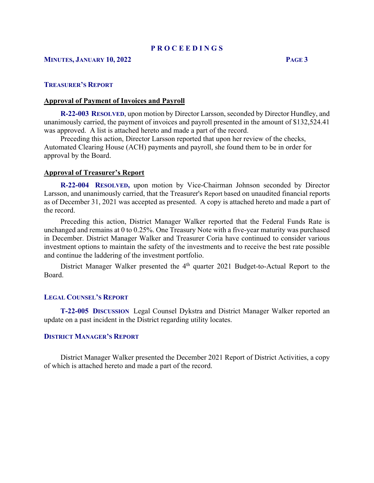# **MINUTES, JANUARY 10, 2022 PAGE 3**

# **TREASURER'S REPORT**

### **Approval of Payment of Invoices and Payroll**

 **R-22-003 RESOLVED**, upon motion by Director Larsson, seconded by Director Hundley, and unanimously carried, the payment of invoices and payroll presented in the amount of \$132,524.41 was approved. A list is attached hereto and made a part of the record.

 Preceding this action, Director Larsson reported that upon her review of the checks, Automated Clearing House (ACH) payments and payroll, she found them to be in order for approval by the Board.

## **Approval of Treasurer's Report**

 **R-22-004 RESOLVED,** upon motion by Vice-Chairman Johnson seconded by Director Larsson, and unanimously carried, that the Treasurer's Report based on unaudited financial reports as of December 31, 2021 was accepted as presented. A copy is attached hereto and made a part of the record.

 Preceding this action, District Manager Walker reported that the Federal Funds Rate is unchanged and remains at 0 to 0.25%. One Treasury Note with a five-year maturity was purchased in December. District Manager Walker and Treasurer Coria have continued to consider various investment options to maintain the safety of the investments and to receive the best rate possible and continue the laddering of the investment portfolio.

District Manager Walker presented the 4<sup>th</sup> quarter 2021 Budget-to-Actual Report to the Board.

#### **LEGAL COUNSEL'S REPORT**

 **T-22-005 DISCUSSION** Legal Counsel Dykstra and District Manager Walker reported an update on a past incident in the District regarding utility locates.

## **DISTRICT MANAGER'S REPORT**

 District Manager Walker presented the December 2021 Report of District Activities, a copy of which is attached hereto and made a part of the record.